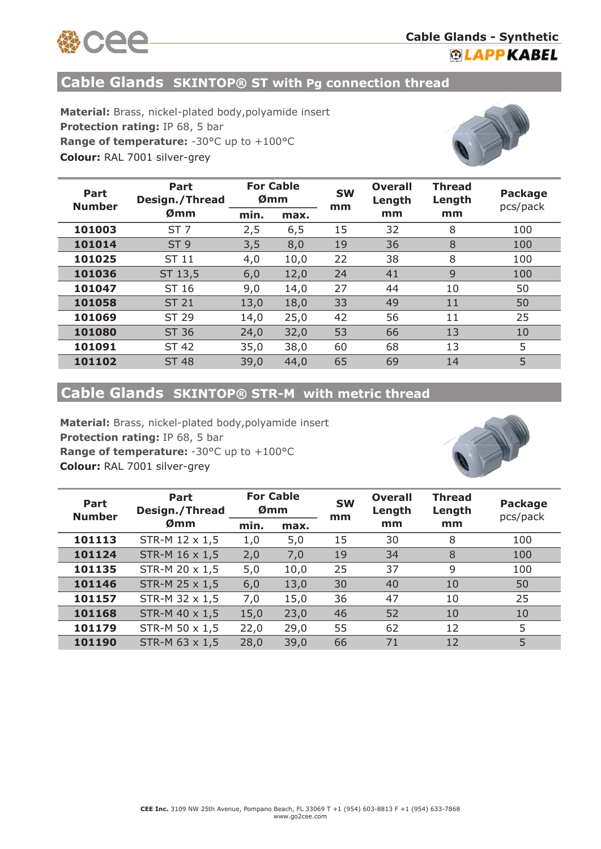

### **Cable Glands - Synthetic ®LAPPKABEL**

#### **Cable Glands SKINTOP® ST with Pg connection thread**

**Material:** Brass, nickel-plated body,polyamide insert **Protection rating:** IP 68, 5 bar **Range of temperature:** -30°C up to +100°C **Colour:** RAL 7001 silver-grey



| Part<br><b>Number</b> | Part<br>Design./Thread | <b>For Cable</b><br>Ømm |      | <b>SW</b><br>mm | <b>Overall</b><br>Length | <b>Thread</b><br>Length | <b>Package</b><br>pcs/pack |
|-----------------------|------------------------|-------------------------|------|-----------------|--------------------------|-------------------------|----------------------------|
|                       | Ømm                    | min.                    | max. |                 | mm                       | mm                      |                            |
| 101003                | ST <sub>7</sub>        | 2,5                     | 6,5  | 15              | 32                       | 8                       | 100                        |
| 101014                | ST <sub>9</sub>        | 3,5                     | 8,0  | 19              | 36                       | 8                       | 100                        |
| 101025                | ST 11                  | 4,0                     | 10,0 | 22              | 38                       | 8                       | 100                        |
| 101036                | ST 13,5                | 6,0                     | 12,0 | 24              | 41                       | 9                       | 100                        |
| 101047                | ST 16                  | 9,0                     | 14,0 | 27              | 44                       | 10                      | 50                         |
| 101058                | <b>ST 21</b>           | 13,0                    | 18,0 | 33              | 49                       | 11                      | 50                         |
| 101069                | ST 29                  | 14,0                    | 25,0 | 42              | 56                       | 11                      | 25                         |
| 101080                | <b>ST 36</b>           | 24,0                    | 32,0 | 53              | 66                       | 13                      | 10                         |
| 101091                | <b>ST 42</b>           | 35,0                    | 38,0 | 60              | 68                       | 13                      | 5                          |
| 101102                | <b>ST 48</b>           | 39,0                    | 44,0 | 65              | 69                       | 14                      | 5                          |

# **Cable Glands SKINTOP® STR-M with metric thread**

**Colour:** RAL 7001 silver-grey **Material:** Brass, nickel-plated body,polyamide insert **Protection rating:** IP 68, 5 bar **Range of temperature: -30°C up to +100°C** 



| Part<br><b>Number</b> | Part<br>Design./Thread | <b>For Cable</b><br>Ømm |      | <b>SW</b><br>mm | <b>Overall</b><br>Length | <b>Thread</b><br>Length | <b>Package</b><br>pcs/pack |
|-----------------------|------------------------|-------------------------|------|-----------------|--------------------------|-------------------------|----------------------------|
|                       | Ømm                    | min.                    | max. |                 | mm                       | mm                      |                            |
| 101113                | STR-M 12 x 1,5         | 1,0                     | 5,0  | 15              | 30                       | 8                       | 100                        |
| 101124                | STR-M 16 x 1,5         | 2,0                     | 7,0  | 19              | 34                       | 8                       | 100                        |
| 101135                | STR-M 20 x 1,5         | 5,0                     | 10,0 | 25              | 37                       | 9                       | 100                        |
| 101146                | STR-M 25 x 1,5         | 6,0                     | 13,0 | 30              | 40                       | 10                      | 50                         |
| 101157                | STR-M 32 x 1,5         | 7,0                     | 15,0 | 36              | 47                       | 10                      | 25                         |
| 101168                | STR-M 40 x 1,5         | 15,0                    | 23,0 | 46              | 52                       | 10                      | 10                         |
| 101179                | STR-M 50 x 1,5         | 22,0                    | 29,0 | 55              | 62                       | 12                      | 5                          |
| 101190                | STR-M 63 x 1,5         | 28,0                    | 39,0 | 66              | 71                       | 12                      | 5                          |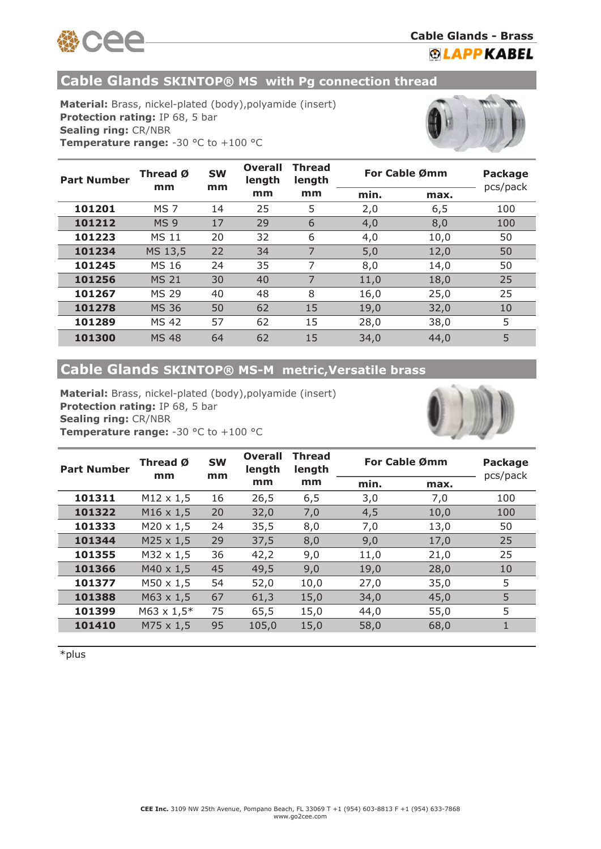

#### **Cable Glands - Brass ®LAPPKABEL**

**Cable Glands SKINTOP® MS with Pg connection thread** 

**Material:** Brass, nickel-plated (body),polyamide (insert) **Protection rating:** IP 68, 5 bar **Sealing ring:** CR/NBR **Temperature range:** -30 °C to +100 °C



| <b>Part Number</b> | <b>SW</b><br>Thread Ø<br>mm<br>mm |    | Overall<br>length | <b>Thread</b><br>length | For Cable Ømm |      | <b>Package</b><br>pcs/pack |
|--------------------|-----------------------------------|----|-------------------|-------------------------|---------------|------|----------------------------|
|                    |                                   |    | mm                | mm                      | min.          | max. |                            |
| 101201             | MS <sub>7</sub>                   | 14 | 25                | 5                       | 2,0           | 6,5  | 100                        |
| 101212             | MS <sub>9</sub>                   | 17 | 29                | 6                       | 4,0           | 8,0  | 100                        |
| 101223             | <b>MS 11</b>                      | 20 | 32                | 6                       | 4,0           | 10,0 | 50                         |
| 101234             | MS 13,5                           | 22 | 34                | 7                       | 5,0           | 12,0 | 50                         |
| 101245             | MS 16                             | 24 | 35                | 7                       | 8,0           | 14,0 | 50                         |
| 101256             | <b>MS 21</b>                      | 30 | 40                | 7                       | 11,0          | 18,0 | 25                         |
| 101267             | <b>MS 29</b>                      | 40 | 48                | 8                       | 16,0          | 25,0 | 25                         |
| 101278             | <b>MS 36</b>                      | 50 | 62                | 15                      | 19,0          | 32,0 | 10                         |
| 101289             | <b>MS 42</b>                      | 57 | 62                | 15                      | 28,0          | 38,0 | 5                          |
| 101300             | <b>MS 48</b>                      | 64 | 62                | 15                      | 34,0          | 44,0 | 5                          |

### **Cable Glands SKINTOP® MS-M metric,Versatile brass**

**Material:** Brass, nickel-plated (body),polyamide (insert) **Protection rating:** IP 68, 5 bar **Sealing ring:** CR/NBR **Temperature range:** -30 °C to +100 °C



| <b>Part Number</b> | <b>SW</b><br>Thread Ø<br>mm<br>mm |    | <b>Overall</b><br>length | <b>Thread</b><br>length |      | <b>For Cable Ømm</b> | <b>Package</b><br>pcs/pack |
|--------------------|-----------------------------------|----|--------------------------|-------------------------|------|----------------------|----------------------------|
|                    |                                   |    | mm                       | mm                      | min. | max.                 |                            |
| 101311             | $M12 \times 1,5$                  | 16 | 26,5                     | 6, 5                    | 3,0  | 7,0                  | 100                        |
| 101322             | $M16 \times 1,5$                  | 20 | 32,0                     | 7,0                     | 4,5  | 10,0                 | 100                        |
| 101333             | $M20 \times 1,5$                  | 24 | 35,5                     | 8,0                     | 7,0  | 13,0                 | 50                         |
| 101344             | $M25 \times 1,5$                  | 29 | 37,5                     | 8,0                     | 9,0  | 17,0                 | 25                         |
| 101355             | $M32 \times 1,5$                  | 36 | 42,2                     | 9,0                     | 11,0 | 21,0                 | 25                         |
| 101366             | $M40 \times 1,5$                  | 45 | 49,5                     | 9,0                     | 19,0 | 28,0                 | 10                         |
| 101377             | $M50 \times 1.5$                  | 54 | 52,0                     | 10,0                    | 27,0 | 35,0                 | 5                          |
| 101388             | $M63 \times 1,5$                  | 67 | 61,3                     | 15,0                    | 34,0 | 45,0                 | 5 <sup>5</sup>             |
| 101399             | $M63 \times 1,5*$                 | 75 | 65,5                     | 15,0                    | 44,0 | 55,0                 | 5                          |
| 101410             | $M75 \times 1,5$                  | 95 | 105,0                    | 15,0                    | 58,0 | 68,0                 | 1                          |
|                    |                                   |    |                          |                         |      |                      |                            |

\*plus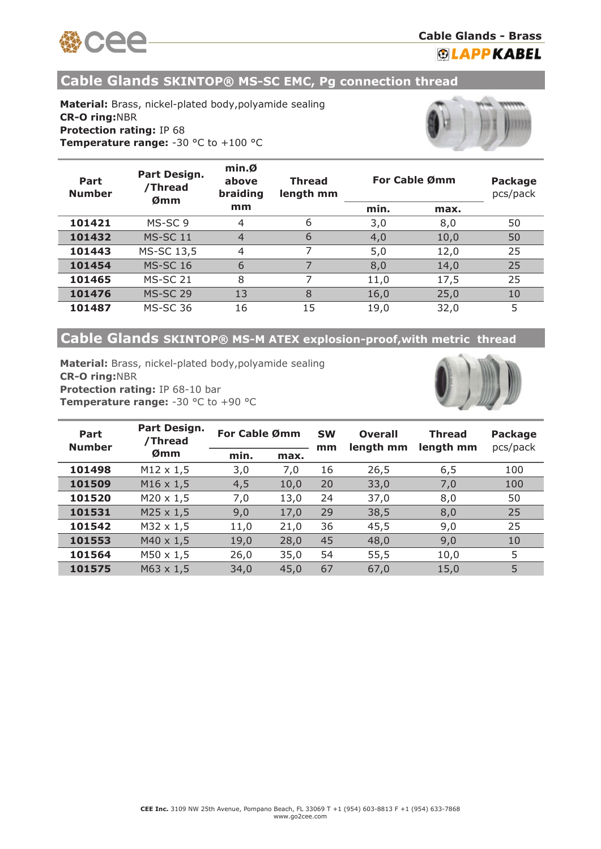

**Cable Glands - Brass**

**®LAPPKABEL** 

**Cable Glands SKINTOP® MS-SC EMC, Pg connection thread** 

**Material:** Brass, nickel-plated body,polyamide sealing **CR-O ring:**NBR **Protection rating:** IP 68 **Temperature range:** -30 °C to +100 °C



| Part<br><b>Number</b> | Part Design.<br>/Thread<br>Ømm | $min. \emptysetabovebraiding$ | <b>Thread</b><br>length mm | For Cable Ømm |      | <b>Package</b><br>pcs/pack |
|-----------------------|--------------------------------|-------------------------------|----------------------------|---------------|------|----------------------------|
|                       |                                | mm                            |                            | min.          | max. |                            |
| 101421                | MS-SC 9                        | 4                             | 6                          | 3,0           | 8,0  | 50                         |
| 101432                | <b>MS-SC 11</b>                | $\overline{4}$                | 6                          | 4,0           | 10,0 | 50                         |
| 101443                | MS-SC 13,5                     | 4                             | 7                          | 5,0           | 12,0 | 25                         |
| 101454                | <b>MS-SC 16</b>                | 6                             |                            | 8,0           | 14,0 | 25                         |
| 101465                | <b>MS-SC 21</b>                | 8                             |                            | 11,0          | 17,5 | 25                         |
| 101476                | <b>MS-SC 29</b>                | 13                            | 8                          | 16,0          | 25,0 | 10                         |
| 101487                | <b>MS-SC 36</b>                | 16                            | 15                         | 19,0          | 32,0 | 5                          |

# **Cable Glands SKINTOP® MS-M ATEX explosion-proof,with metric thread**

**Material:** Brass, nickel-plated body,polyamide sealing **CR-O ring:**NBR **Protection rating:** IP 68-10 bar **Temperature range:** -30 °C to +90 °C



| Part<br><b>Number</b> | Part Design.<br>/Thread | For Cable Ømm |      | <b>SW</b><br>mm | <b>Overall</b><br>length mm | <b>Thread</b><br>length mm | <b>Package</b><br>pcs/pack |
|-----------------------|-------------------------|---------------|------|-----------------|-----------------------------|----------------------------|----------------------------|
|                       | Ømm                     | min.          | max. |                 |                             |                            |                            |
| 101498                | $M12 \times 1,5$        | 3,0           | 7,0  | 16              | 26,5                        | 6, 5                       | 100                        |
| 101509                | $M16 \times 1,5$        | 4,5           | 10,0 | 20              | 33,0                        | 7,0                        | 100                        |
| 101520                | $M20 \times 1,5$        | 7,0           | 13,0 | 24              | 37,0                        | 8,0                        | 50                         |
| 101531                | $M25 \times 1,5$        | 9,0           | 17,0 | 29              | 38,5                        | 8,0                        | 25                         |
| 101542                | $M32 \times 1,5$        | 11,0          | 21,0 | 36              | 45,5                        | 9,0                        | 25                         |
| 101553                | $M40 \times 1,5$        | 19,0          | 28,0 | 45              | 48,0                        | 9,0                        | 10                         |
| 101564                | $M50 \times 1,5$        | 26,0          | 35,0 | 54              | 55,5                        | 10,0                       | 5                          |
| 101575                | $M63 \times 1,5$        | 34,0          | 45,0 | 67              | 67,0                        | 15,0                       | 5                          |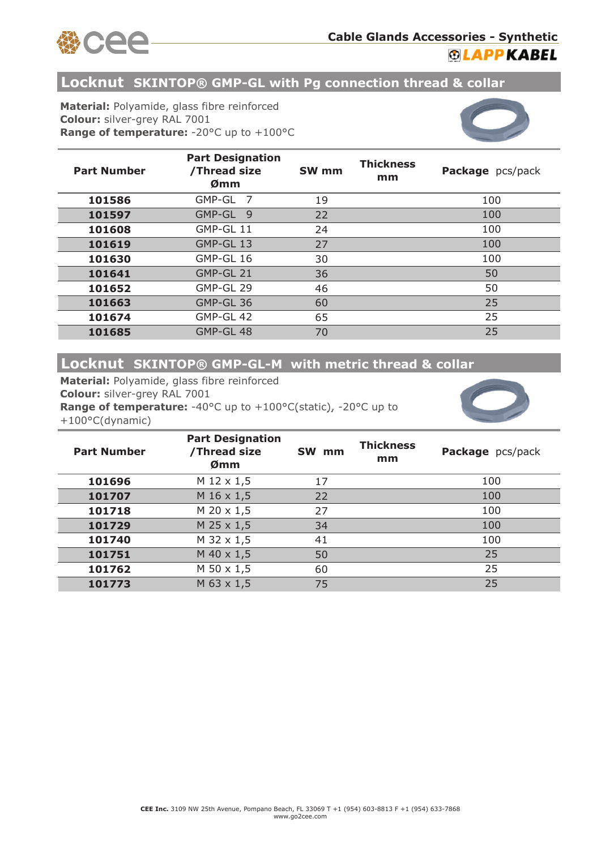



# **Locknut SKINTOP® GMP-GL with Pg connection thread & collar**

**Material:** Polyamide, glass fibre reinforced **Colour:** silver-grey RAL 7001 **Range of temperature:** -20°C up to +100°C



| <b>Part Number</b> | <b>Part Designation</b><br>/Thread size<br>Ømm | SW <sub>mm</sub> | <b>Thickness</b><br>mm | Package pcs/pack |
|--------------------|------------------------------------------------|------------------|------------------------|------------------|
| 101586             | GMP-GL<br>7                                    | 19               |                        | 100              |
| 101597             | GMP-GL 9                                       | 22               |                        | 100              |
| 101608             | GMP-GL 11                                      | 24               |                        | 100              |
| 101619             | GMP-GL 13                                      | 27               |                        | 100              |
| 101630             | GMP-GL 16                                      | 30               |                        | 100              |
| 101641             | GMP-GL 21                                      | 36               |                        | 50               |
| 101652             | GMP-GL 29                                      | 46               |                        | 50               |
| 101663             | GMP-GL 36                                      | 60               |                        | 25               |
| 101674             | GMP-GL 42                                      | 65               |                        | 25               |
| 101685             | GMP-GL 48                                      | 70               |                        | 25               |

### **Locknut SKINTOP® GMP-GL-M with metric thread & collar**

**Material:** Polyamide, glass fibre reinforced **Colour:** silver-grey RAL 7001 **Range of temperature:** -40°C up to +100°C(static), -20°C up to +100°C(dynamic)



| <b>Part Number</b> | <b>Part Designation</b><br>/Thread size<br>Ømm | SW mm | <b>Thickness</b><br>mm | Package pcs/pack |
|--------------------|------------------------------------------------|-------|------------------------|------------------|
| 101696             | M 12 x 1,5                                     | 17    |                        | 100              |
| 101707             | M 16 x 1,5                                     | 22    |                        | 100              |
| 101718             | $M$ 20 $\times$ 1,5                            | 27    |                        | 100              |
| 101729             | $M$ 25 x 1,5                                   | 34    |                        | 100              |
| 101740             | M 32 x 1,5                                     | 41    |                        | 100              |
| 101751             | $M$ 40 x 1,5                                   | 50    |                        | 25               |
| 101762             | $M$ 50 x 1,5                                   | 60    |                        | 25               |
| 101773             | M 63 x 1,5                                     | 75    |                        | 25               |